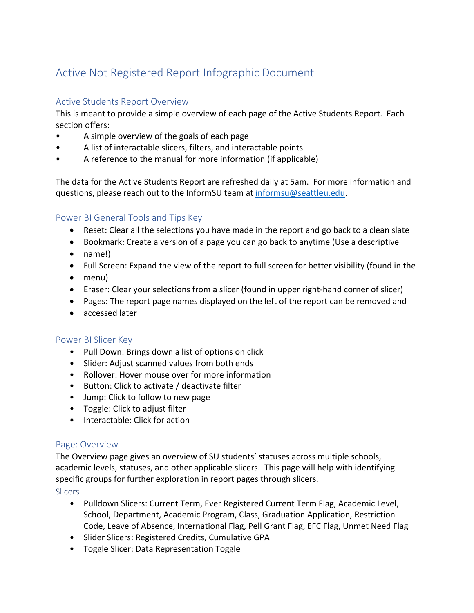# Active Not Registered Report Infographic Document

## Active Students Report Overview

This is meant to provide a simple overview of each page of the Active Students Report. Each section offers:

- A simple overview of the goals of each page
- A list of interactable slicers, filters, and interactable points
- A reference to the manual for more information (if applicable)

The data for the Active Students Report are refreshed daily at 5am. For more information and questions, please reach out to the InformSU team at informsu@seattleu.edu.

## Power BI General Tools and Tips Key

- Reset: Clear all the selections you have made in the report and go back to a clean slate
- Bookmark: Create a version of a page you can go back to anytime (Use a descriptive
- name!)
- Full Screen: Expand the view of the report to full screen for better visibility (found in the
- menu)
- Eraser: Clear your selections from a slicer (found in upper right-hand corner of slicer)
- Pages: The report page names displayed on the left of the report can be removed and
- accessed later

### Power BI Slicer Key

- Pull Down: Brings down a list of options on click
- Slider: Adjust scanned values from both ends
- Rollover: Hover mouse over for more information
- Button: Click to activate / deactivate filter
- Jump: Click to follow to new page
- Toggle: Click to adjust filter
- Interactable: Click for action

### Page: Overview

The Overview page gives an overview of SU students' statuses across multiple schools, academic levels, statuses, and other applicable slicers. This page will help with identifying specific groups for further exploration in report pages through slicers.

#### **Slicers**

- Pulldown Slicers: Current Term, Ever Registered Current Term Flag, Academic Level, School, Department, Academic Program, Class, Graduation Application, Restriction Code, Leave of Absence, International Flag, Pell Grant Flag, EFC Flag, Unmet Need Flag
- Slider Slicers: Registered Credits, Cumulative GPA
- Toggle Slicer: Data Representation Toggle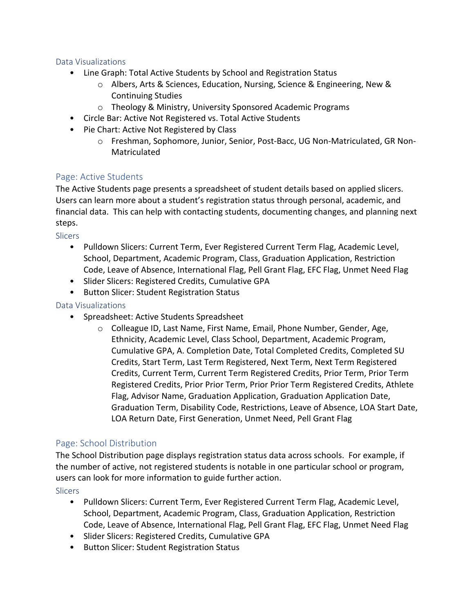#### Data Visualizations

- Line Graph: Total Active Students by School and Registration Status
	- o Albers, Arts & Sciences, Education, Nursing, Science & Engineering, New & Continuing Studies
	- o Theology & Ministry, University Sponsored Academic Programs
- Circle Bar: Active Not Registered vs. Total Active Students
- Pie Chart: Active Not Registered by Class
	- o Freshman, Sophomore, Junior, Senior, Post-Bacc, UG Non-Matriculated, GR Non-Matriculated

### Page: Active Students

The Active Students page presents a spreadsheet of student details based on applied slicers. Users can learn more about a student's registration status through personal, academic, and financial data. This can help with contacting students, documenting changes, and planning next steps.

Slicers

- Pulldown Slicers: Current Term, Ever Registered Current Term Flag, Academic Level, School, Department, Academic Program, Class, Graduation Application, Restriction Code, Leave of Absence, International Flag, Pell Grant Flag, EFC Flag, Unmet Need Flag
- Slider Slicers: Registered Credits, Cumulative GPA
- Button Slicer: Student Registration Status

#### Data Visualizations

- Spreadsheet: Active Students Spreadsheet
	- o Colleague ID, Last Name, First Name, Email, Phone Number, Gender, Age, Ethnicity, Academic Level, Class School, Department, Academic Program, Cumulative GPA, A. Completion Date, Total Completed Credits, Completed SU Credits, Start Term, Last Term Registered, Next Term, Next Term Registered Credits, Current Term, Current Term Registered Credits, Prior Term, Prior Term Registered Credits, Prior Prior Term, Prior Prior Term Registered Credits, Athlete Flag, Advisor Name, Graduation Application, Graduation Application Date, Graduation Term, Disability Code, Restrictions, Leave of Absence, LOA Start Date, LOA Return Date, First Generation, Unmet Need, Pell Grant Flag

### Page: School Distribution

The School Distribution page displays registration status data across schools. For example, if the number of active, not registered students is notable in one particular school or program, users can look for more information to guide further action.

#### **Slicers**

- Pulldown Slicers: Current Term, Ever Registered Current Term Flag, Academic Level, School, Department, Academic Program, Class, Graduation Application, Restriction Code, Leave of Absence, International Flag, Pell Grant Flag, EFC Flag, Unmet Need Flag
- Slider Slicers: Registered Credits, Cumulative GPA
- Button Slicer: Student Registration Status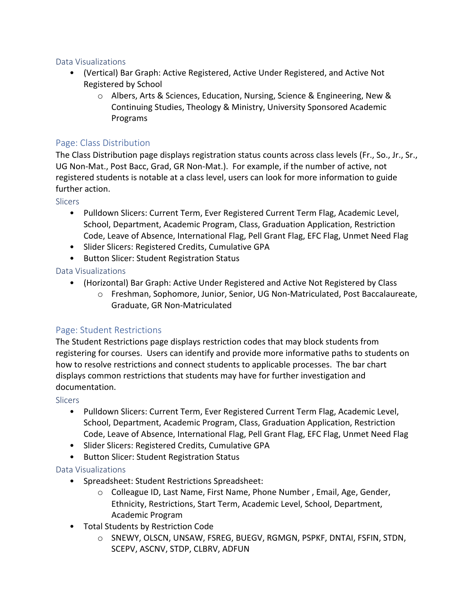### Data Visualizations

- (Vertical) Bar Graph: Active Registered, Active Under Registered, and Active Not Registered by School
	- o Albers, Arts & Sciences, Education, Nursing, Science & Engineering, New & Continuing Studies, Theology & Ministry, University Sponsored Academic Programs

## Page: Class Distribution

The Class Distribution page displays registration status counts across class levels (Fr., So., Jr., Sr., UG Non-Mat., Post Bacc, Grad, GR Non-Mat.). For example, if the number of active, not registered students is notable at a class level, users can look for more information to guide further action.

**Slicers** 

- Pulldown Slicers: Current Term, Ever Registered Current Term Flag, Academic Level, School, Department, Academic Program, Class, Graduation Application, Restriction Code, Leave of Absence, International Flag, Pell Grant Flag, EFC Flag, Unmet Need Flag
- Slider Slicers: Registered Credits, Cumulative GPA
- Button Slicer: Student Registration Status

### Data Visualizations

- (Horizontal) Bar Graph: Active Under Registered and Active Not Registered by Class
	- o Freshman, Sophomore, Junior, Senior, UG Non-Matriculated, Post Baccalaureate, Graduate, GR Non-Matriculated

# Page: Student Restrictions

The Student Restrictions page displays restriction codes that may block students from registering for courses. Users can identify and provide more informative paths to students on how to resolve restrictions and connect students to applicable processes. The bar chart displays common restrictions that students may have for further investigation and documentation.

### Slicers

- Pulldown Slicers: Current Term, Ever Registered Current Term Flag, Academic Level, School, Department, Academic Program, Class, Graduation Application, Restriction Code, Leave of Absence, International Flag, Pell Grant Flag, EFC Flag, Unmet Need Flag
- Slider Slicers: Registered Credits, Cumulative GPA
- Button Slicer: Student Registration Status

### Data Visualizations

- Spreadsheet: Student Restrictions Spreadsheet:
	- o Colleague ID, Last Name, First Name, Phone Number , Email, Age, Gender, Ethnicity, Restrictions, Start Term, Academic Level, School, Department, Academic Program
- Total Students by Restriction Code
	- o SNEWY, OLSCN, UNSAW, FSREG, BUEGV, RGMGN, PSPKF, DNTAI, FSFIN, STDN, SCEPV, ASCNV, STDP, CLBRV, ADFUN